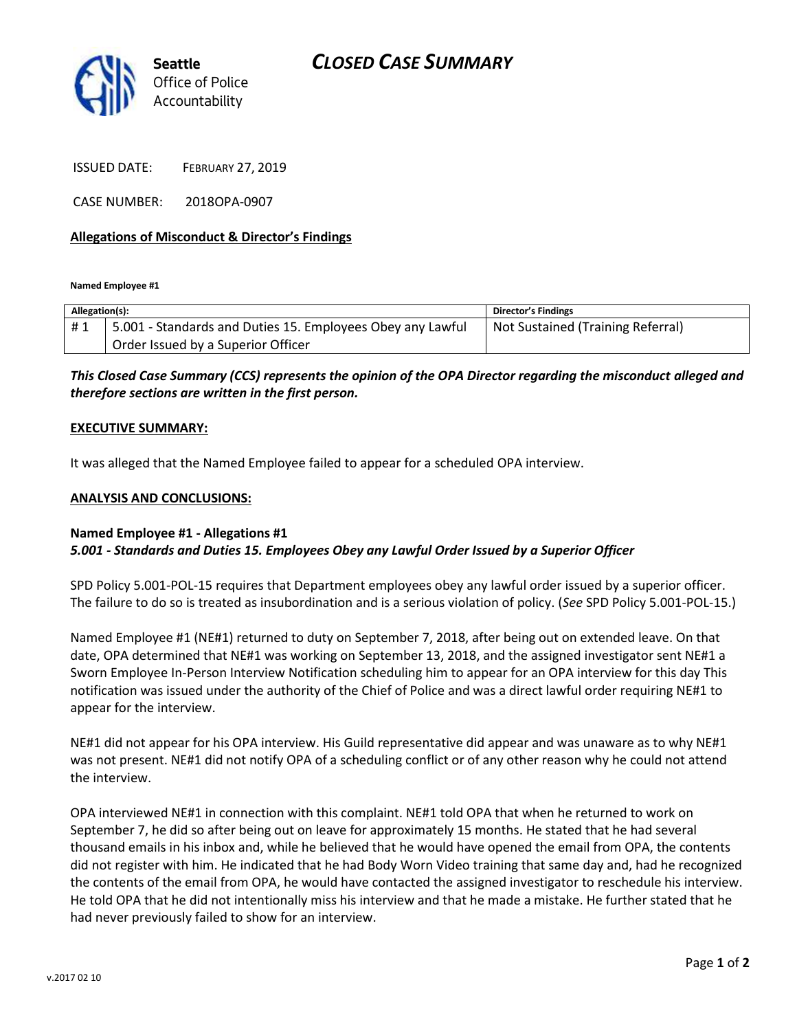

ISSUED DATE: FEBRUARY 27, 2019

CASE NUMBER: 2018OPA-0907

### **Allegations of Misconduct & Director's Findings**

**Named Employee #1**

| Allegation(s): |                                                            | Director's Findings               |
|----------------|------------------------------------------------------------|-----------------------------------|
| #1             | 5.001 - Standards and Duties 15. Employees Obey any Lawful | Not Sustained (Training Referral) |
|                | Order Issued by a Superior Officer                         |                                   |

## *This Closed Case Summary (CCS) represents the opinion of the OPA Director regarding the misconduct alleged and therefore sections are written in the first person.*

#### **EXECUTIVE SUMMARY:**

It was alleged that the Named Employee failed to appear for a scheduled OPA interview.

#### **ANALYSIS AND CONCLUSIONS:**

## **Named Employee #1 - Allegations #1** *5.001 - Standards and Duties 15. Employees Obey any Lawful Order Issued by a Superior Officer*

SPD Policy 5.001-POL-15 requires that Department employees obey any lawful order issued by a superior officer. The failure to do so is treated as insubordination and is a serious violation of policy. (*See* SPD Policy 5.001-POL-15.)

Named Employee #1 (NE#1) returned to duty on September 7, 2018, after being out on extended leave. On that date, OPA determined that NE#1 was working on September 13, 2018, and the assigned investigator sent NE#1 a Sworn Employee In-Person Interview Notification scheduling him to appear for an OPA interview for this day This notification was issued under the authority of the Chief of Police and was a direct lawful order requiring NE#1 to appear for the interview.

NE#1 did not appear for his OPA interview. His Guild representative did appear and was unaware as to why NE#1 was not present. NE#1 did not notify OPA of a scheduling conflict or of any other reason why he could not attend the interview.

OPA interviewed NE#1 in connection with this complaint. NE#1 told OPA that when he returned to work on September 7, he did so after being out on leave for approximately 15 months. He stated that he had several thousand emails in his inbox and, while he believed that he would have opened the email from OPA, the contents did not register with him. He indicated that he had Body Worn Video training that same day and, had he recognized the contents of the email from OPA, he would have contacted the assigned investigator to reschedule his interview. He told OPA that he did not intentionally miss his interview and that he made a mistake. He further stated that he had never previously failed to show for an interview.